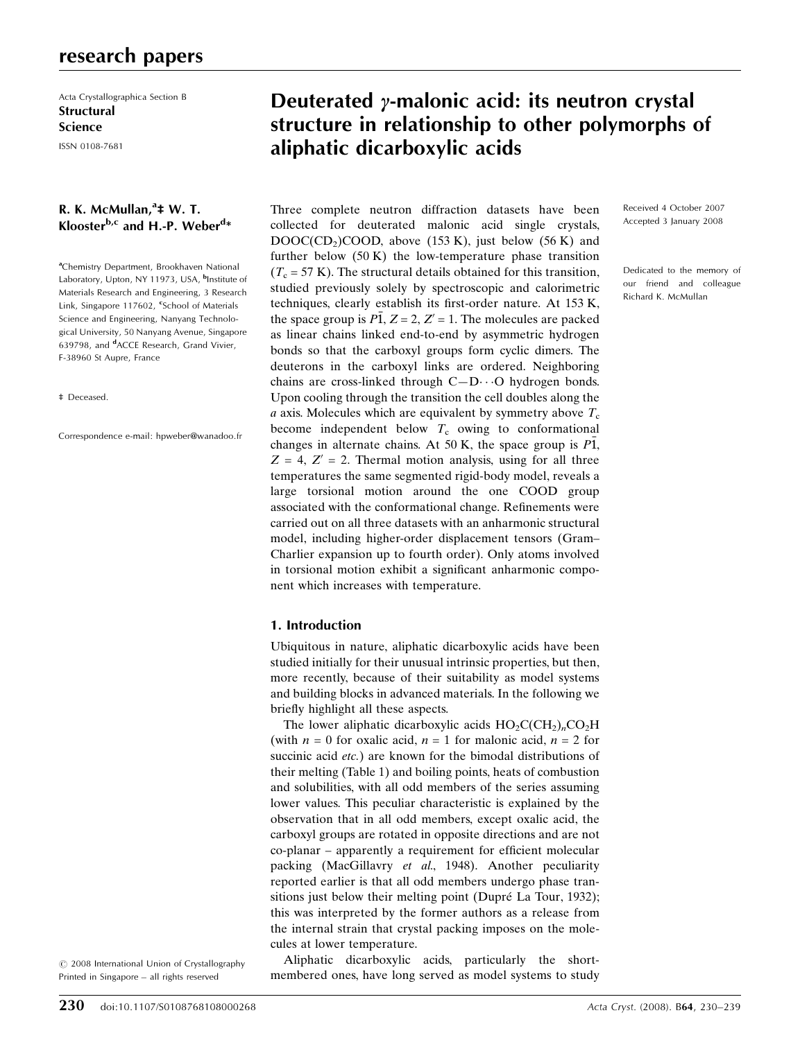# research papers

Acta Crystallographica Section B **Structural** Science

# ISSN 0108-7681

# R. K. McMullan,<sup>a</sup>‡ W. T. Klooster<sup>b,c</sup> and H.-P. Weber<sup>d</sup>\*

<sup>a</sup>Chemistry Department, Brookhaven National Laboratory, Upton, NY 11973, USA, <sup>b</sup>Institute of Materials Research and Engineering, 3 Research Link, Singapore 117602, <sup>c</sup>School of Materials Science and Engineering, Nanyang Technological University, 50 Nanyang Avenue, Singapore 639798, and <sup>d</sup>ACCE Research, Grand Vivier, F-38960 St Aupre, France

#### ‡ Deceased.

Correspondence e-mail: hpweber@wanadoo.fr

#### $\odot$  2008 International Union of Crystallography Printed in Singapore – all rights reserved

# Deuterated  $\gamma$ -malonic acid: its neutron crystal structure in relationship to other polymorphs of aliphatic dicarboxylic acids

Three complete neutron diffraction datasets have been collected for deuterated malonic acid single crystals,  $DOOC(CD<sub>2</sub>)COOD$ , above (153 K), just below (56 K) and further below (50 K) the low-temperature phase transition  $(T_c = 57 \text{ K})$ . The structural details obtained for this transition, studied previously solely by spectroscopic and calorimetric techniques, clearly establish its first-order nature. At 153 K, the space group is  $\overline{P1}$ ,  $Z = 2$ ,  $Z' = 1$ . The molecules are packed as linear chains linked end-to-end by asymmetric hydrogen bonds so that the carboxyl groups form cyclic dimers. The deuterons in the carboxyl links are ordered. Neighboring chains are cross-linked through  $C-D \cdot \cdot \cdot O$  hydrogen bonds. Upon cooling through the transition the cell doubles along the a axis. Molecules which are equivalent by symmetry above  $T_c$ become independent below  $T_c$  owing to conformational changes in alternate chains. At 50 K, the space group is P1,  $Z = 4$ ,  $Z' = 2$ . Thermal motion analysis, using for all three temperatures the same segmented rigid-body model, reveals a large torsional motion around the one COOD group associated with the conformational change. Refinements were carried out on all three datasets with an anharmonic structural model, including higher-order displacement tensors (Gram– Charlier expansion up to fourth order). Only atoms involved in torsional motion exhibit a significant anharmonic component which increases with temperature.

## 1. Introduction

Ubiquitous in nature, aliphatic dicarboxylic acids have been studied initially for their unusual intrinsic properties, but then, more recently, because of their suitability as model systems and building blocks in advanced materials. In the following we briefly highlight all these aspects.

The lower aliphatic dicarboxylic acids  $HO_2C(CH_2)_nCO_2H$ (with  $n = 0$  for oxalic acid,  $n = 1$  for malonic acid,  $n = 2$  for succinic acid *etc.*) are known for the bimodal distributions of their melting (Table 1) and boiling points, heats of combustion and solubilities, with all odd members of the series assuming lower values. This peculiar characteristic is explained by the observation that in all odd members, except oxalic acid, the carboxyl groups are rotated in opposite directions and are not co-planar – apparently a requirement for efficient molecular packing (MacGillavry et al., 1948). Another peculiarity reported earlier is that all odd members undergo phase transitions just below their melting point (Dupré La Tour, 1932); this was interpreted by the former authors as a release from the internal strain that crystal packing imposes on the molecules at lower temperature.

Aliphatic dicarboxylic acids, particularly the shortmembered ones, have long served as model systems to study Received 4 October 2007 Accepted 3 January 2008

Dedicated to the memory of our friend and colleague Richard K. McMullan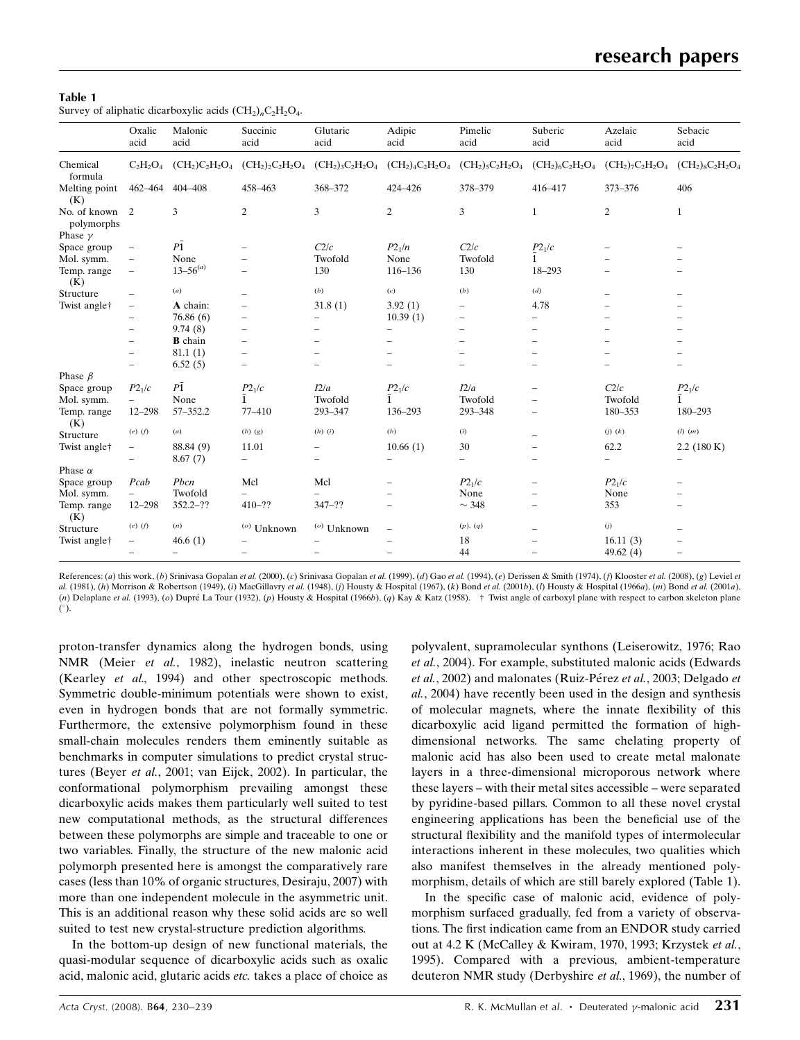#### Table 1

Survey of aliphatic dicarboxylic acids  $(CH_2)_nC_2H_2O_4$ .

|                                              | Oxalic<br>acid           | Malonic<br>acid          | Succinic<br>acid                      | Glutaric<br>acid         | Adipic<br>acid           | Pimelic<br>acid          | Suberic<br>acid          | Azelaic<br>acid     | Sebacic<br>acid          |
|----------------------------------------------|--------------------------|--------------------------|---------------------------------------|--------------------------|--------------------------|--------------------------|--------------------------|---------------------|--------------------------|
| Chemical<br>formula                          | $C_2H_2O_4$              |                          | $(CH_2)C_2H_2O_4$ $(CH_2)_2C_2H_2O_4$ | $(CH_2)_3C_2H_2O_4$      | $(CH_2)_4C_2H_2O_4$      | $(CH_2)_5C_2H_2O_4$      | $(CH_2)_6C_2H_2O_4$      | $(CH_2)_7C_2H_2O_4$ | $(CH_2)_8C_2H_2O_4$      |
| Melting point<br>(K)                         | 462–464                  | 404-408                  | 458-463                               | 368-372                  | 424-426                  | 378-379                  | 416-417                  | 373-376             | 406                      |
| No. of known<br>polymorphs<br>Phase $\gamma$ | 2                        | 3                        | $\overline{c}$                        | 3                        | $\overline{c}$           | 3                        | $\mathbf{1}$             | $\overline{c}$      | 1                        |
| Space group                                  | $\overline{\phantom{0}}$ | $P\bar{1}$               |                                       | C2/c                     | $P2_1/n$                 | C2/c                     | $P2_1/c$                 |                     |                          |
| Mol. symm.                                   | $\qquad \qquad -$        | None                     |                                       | Twofold                  | None                     | Twofold                  |                          |                     |                          |
| Temp. range<br>(K)                           | $\overline{\phantom{0}}$ | $13 - 56^{(a)}$          |                                       | 130                      | 116-136                  | 130                      | 18-293                   |                     |                          |
| Structure                                    | $\overline{\phantom{0}}$ | (a)                      |                                       | (b)                      | $\left( c\right)$        | (b)                      | (d)                      |                     |                          |
| Twist angle†                                 | $\qquad \qquad -$        | A chain:                 |                                       | 31.8(1)                  | 3.92(1)                  |                          | 4.78                     |                     |                          |
|                                              | $\overline{\phantom{0}}$ | 76.86(6)                 |                                       |                          | 10.39(1)                 | $\overline{\phantom{0}}$ |                          |                     |                          |
|                                              | $\overline{\phantom{0}}$ | 9.74(8)                  |                                       | $\overline{\phantom{0}}$ | $\overline{\phantom{0}}$ |                          |                          |                     |                          |
|                                              |                          | <b>B</b> chain           |                                       |                          |                          |                          |                          |                     |                          |
|                                              | $\overline{\phantom{0}}$ | 81.1(1)                  | $\overline{\phantom{0}}$              |                          |                          |                          |                          |                     |                          |
|                                              | $\overline{\phantom{0}}$ | 6.52(5)                  | $\qquad \qquad -$                     |                          |                          |                          |                          |                     |                          |
| Phase $\beta$                                |                          |                          |                                       |                          |                          |                          |                          |                     |                          |
| Space group                                  | P2 <sub>1</sub> /c       | $P\bar{1}$               | $P2_1/c$                              | I2/a                     | $P2_{\rm 1}/c$           | I2/a                     |                          | C2/c                | P2 <sub>1</sub> /c       |
| Mol. symm.                                   | $-$                      | None                     |                                       | Twofold                  | $\overline{1}$           | Twofold                  |                          | Twofold             | 1                        |
| Temp. range<br>(K)                           | $12 - 298$               | 57-352.2                 | 77-410                                | 293-347                  | 136-293                  | 293-348                  |                          | 180-353             | 180-293                  |
| Structure                                    | $(e)$ $(f)$              | (a)                      | $(b)$ $(g)$                           | $(h)$ $(i)$              | (b)                      | $\left( i\right)$        |                          | $(j)$ $(k)$         | $(l)$ $(m)$              |
| Twist angle†                                 | $\overline{\phantom{a}}$ | 88.84 (9)                | 11.01                                 | $\qquad \qquad -$        | 10.66(1)                 | 30                       |                          | 62.2                | 2.2(180 K)               |
|                                              | -                        | 8.67(7)                  | $\overline{\phantom{0}}$              | $\overline{\phantom{0}}$ | $\overline{\phantom{0}}$ | $\overline{\phantom{0}}$ |                          | $\qquad \qquad -$   |                          |
| Phase $\alpha$                               |                          |                          |                                       |                          |                          |                          |                          |                     |                          |
| Space group                                  | Pcab                     | Pbcn                     | Mcl                                   | Mcl                      |                          | P2 <sub>1</sub> /c       |                          | $P2_1/c$            |                          |
| Mol. symm.                                   | $-$                      | Twofold                  |                                       |                          |                          | None                     |                          | None                |                          |
| Temp. range<br>(K)                           | 12-298                   | $352.2 - ??$             | $410 - ??$                            | $347 - ??$               |                          | $\sim$ 348               | $\overline{\phantom{0}}$ | 353                 |                          |
| Structure                                    | $(e)$ $(f)$              | (n)                      | $\binom{0}{0}$ Unknown                | $\binom{0}{0}$ Unknown   | $\overline{\phantom{m}}$ | (p), (q)                 |                          | $\left( j\right)$   |                          |
| Twist angle†                                 | -                        | 46.6(1)                  |                                       |                          |                          | 18                       |                          | 16.11(3)            |                          |
|                                              | $\overline{\phantom{0}}$ | $\overline{\phantom{0}}$ | $\overline{\phantom{0}}$              |                          |                          | 44                       |                          | 49.62 $(4)$         | $\overline{\phantom{0}}$ |

References: (a) this work, (b) Srinivasa Gopalan et al. (2000), (c) Srinivasa Gopalan et al. (1999), (d) Gao et al. (1994), (e) Derissen & Smith (1974), (f) Klooster et al. (2008), (g) Leviel et al. (1981), (h) Morrison & Robertson (1949), (i) MacGillavry et al. (1948), (j) Housty & Hospital (1967), (k) Bond et al. (2001b), (l) Housty & Hospital (1966a), (m) Bond et al. (2001a), (n) Delaplane et al. (1993), (o) Dupre La Tour (1932), (p) Housty & Hospital (1966b), (q) Kay & Katz (1958). † Twist angle of carboxyl plane with respect to carbon skeleton plane  $(°)$ .

proton-transfer dynamics along the hydrogen bonds, using NMR (Meier et al., 1982), inelastic neutron scattering (Kearley et al., 1994) and other spectroscopic methods. Symmetric double-minimum potentials were shown to exist, even in hydrogen bonds that are not formally symmetric. Furthermore, the extensive polymorphism found in these small-chain molecules renders them eminently suitable as benchmarks in computer simulations to predict crystal structures (Beyer et al., 2001; van Eijck, 2002). In particular, the conformational polymorphism prevailing amongst these dicarboxylic acids makes them particularly well suited to test new computational methods, as the structural differences between these polymorphs are simple and traceable to one or two variables. Finally, the structure of the new malonic acid polymorph presented here is amongst the comparatively rare cases (less than 10% of organic structures, Desiraju, 2007) with more than one independent molecule in the asymmetric unit. This is an additional reason why these solid acids are so well suited to test new crystal-structure prediction algorithms.

In the bottom-up design of new functional materials, the quasi-modular sequence of dicarboxylic acids such as oxalic acid, malonic acid, glutaric acids etc. takes a place of choice as polyvalent, supramolecular synthons (Leiserowitz, 1976; Rao et al., 2004). For example, substituted malonic acids (Edwards et al., 2002) and malonates (Ruiz-Pérez et al., 2003; Delgado et al., 2004) have recently been used in the design and synthesis of molecular magnets, where the innate flexibility of this dicarboxylic acid ligand permitted the formation of highdimensional networks. The same chelating property of malonic acid has also been used to create metal malonate layers in a three-dimensional microporous network where these layers – with their metal sites accessible – were separated by pyridine-based pillars. Common to all these novel crystal engineering applications has been the beneficial use of the structural flexibility and the manifold types of intermolecular interactions inherent in these molecules, two qualities which also manifest themselves in the already mentioned polymorphism, details of which are still barely explored (Table 1).

In the specific case of malonic acid, evidence of polymorphism surfaced gradually, fed from a variety of observations. The first indication came from an ENDOR study carried out at 4.2 K (McCalley & Kwiram, 1970, 1993; Krzystek et al., 1995). Compared with a previous, ambient-temperature deuteron NMR study (Derbyshire et al., 1969), the number of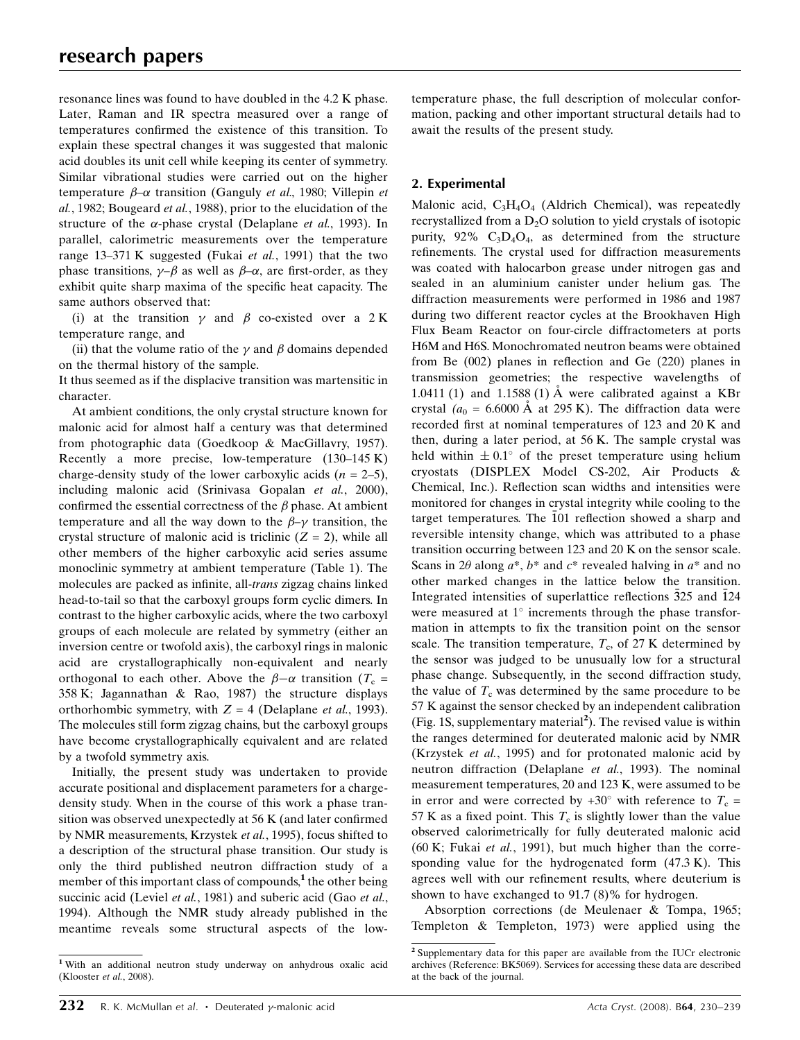resonance lines was found to have doubled in the 4.2 K phase. Later, Raman and IR spectra measured over a range of temperatures confirmed the existence of this transition. To explain these spectral changes it was suggested that malonic acid doubles its unit cell while keeping its center of symmetry. Similar vibrational studies were carried out on the higher temperature  $\beta$ - $\alpha$  transition (Ganguly *et al.*, 1980; Villepin *et* al., 1982; Bougeard et al., 1988), prior to the elucidation of the structure of the  $\alpha$ -phase crystal (Delaplane *et al.*, 1993). In parallel, calorimetric measurements over the temperature range 13–371 K suggested (Fukai et al., 1991) that the two phase transitions,  $\gamma-\beta$  as well as  $\beta-\alpha$ , are first-order, as they exhibit quite sharp maxima of the specific heat capacity. The same authors observed that:

(i) at the transition  $\gamma$  and  $\beta$  co-existed over a 2 K temperature range, and

(ii) that the volume ratio of the  $\gamma$  and  $\beta$  domains depended on the thermal history of the sample.

It thus seemed as if the displacive transition was martensitic in character.

At ambient conditions, the only crystal structure known for malonic acid for almost half a century was that determined from photographic data (Goedkoop & MacGillavry, 1957). Recently a more precise, low-temperature (130–145 K) charge-density study of the lower carboxylic acids  $(n = 2-5)$ , including malonic acid (Srinivasa Gopalan et al., 2000), confirmed the essential correctness of the  $\beta$  phase. At ambient temperature and all the way down to the  $\beta-\gamma$  transition, the crystal structure of malonic acid is triclinic  $(Z = 2)$ , while all other members of the higher carboxylic acid series assume monoclinic symmetry at ambient temperature (Table 1). The molecules are packed as infinite, all-trans zigzag chains linked head-to-tail so that the carboxyl groups form cyclic dimers. In contrast to the higher carboxylic acids, where the two carboxyl groups of each molecule are related by symmetry (either an inversion centre or twofold axis), the carboxyl rings in malonic acid are crystallographically non-equivalent and nearly orthogonal to each other. Above the  $\beta-\alpha$  transition (T<sub>c</sub> = 358 K; Jagannathan & Rao, 1987) the structure displays orthorhombic symmetry, with  $Z = 4$  (Delaplane *et al.*, 1993). The molecules still form zigzag chains, but the carboxyl groups have become crystallographically equivalent and are related by a twofold symmetry axis.

Initially, the present study was undertaken to provide accurate positional and displacement parameters for a chargedensity study. When in the course of this work a phase transition was observed unexpectedly at 56 K (and later confirmed by NMR measurements, Krzystek et al., 1995), focus shifted to a description of the structural phase transition. Our study is only the third published neutron diffraction study of a member of this important class of compounds, $<sup>1</sup>$  the other being</sup> succinic acid (Leviel et al., 1981) and suberic acid (Gao et al., 1994). Although the NMR study already published in the meantime reveals some structural aspects of the lowtemperature phase, the full description of molecular conformation, packing and other important structural details had to await the results of the present study.

# 2. Experimental

Malonic acid, C3H4O4 (Aldrich Chemical), was repeatedly recrystallized from a  $D_2O$  solution to yield crystals of isotopic purity,  $92\%$  C<sub>3</sub>D<sub>4</sub>O<sub>4</sub>, as determined from the structure refinements. The crystal used for diffraction measurements was coated with halocarbon grease under nitrogen gas and sealed in an aluminium canister under helium gas. The diffraction measurements were performed in 1986 and 1987 during two different reactor cycles at the Brookhaven High Flux Beam Reactor on four-circle diffractometers at ports H6M and H6S. Monochromated neutron beams were obtained from Be (002) planes in reflection and Ge (220) planes in transmission geometries; the respective wavelengths of 1.0411 (1) and 1.1588 (1)  $\AA$  were calibrated against a KBr crystal ( $a_0 = 6.6000$  Å at 295 K). The diffraction data were recorded first at nominal temperatures of 123 and 20 K and then, during a later period, at 56 K. The sample crystal was held within  $\pm 0.1^{\circ}$  of the preset temperature using helium cryostats (DISPLEX Model CS-202, Air Products & Chemical, Inc.). Reflection scan widths and intensities were monitored for changes in crystal integrity while cooling to the target temperatures. The 101 reflection showed a sharp and reversible intensity change, which was attributed to a phase transition occurring between 123 and 20 K on the sensor scale. Scans in 2 $\theta$  along  $a^*$ ,  $b^*$  and  $c^*$  revealed halving in  $a^*$  and no other marked changes in the lattice below the transition. Integrated intensities of superlattice reflections 325 and 124 were measured at  $1^\circ$  increments through the phase transformation in attempts to fix the transition point on the sensor scale. The transition temperature,  $T_c$ , of 27 K determined by the sensor was judged to be unusually low for a structural phase change. Subsequently, in the second diffraction study, the value of  $T_c$  was determined by the same procedure to be 57 K against the sensor checked by an independent calibration (Fig. 1S, supplementary material<sup>2</sup>). The revised value is within the ranges determined for deuterated malonic acid by NMR (Krzystek et al., 1995) and for protonated malonic acid by neutron diffraction (Delaplane et al., 1993). The nominal measurement temperatures, 20 and 123 K, were assumed to be in error and were corrected by  $+30^{\circ}$  with reference to  $T_c$  = 57 K as a fixed point. This  $T_c$  is slightly lower than the value observed calorimetrically for fully deuterated malonic acid (60 K; Fukai et al., 1991), but much higher than the corresponding value for the hydrogenated form (47.3 K). This agrees well with our refinement results, where deuterium is shown to have exchanged to 91.7 (8)% for hydrogen.

Absorption corrections (de Meulenaer & Tompa, 1965; Templeton & Templeton, 1973) were applied using the

<sup>1</sup> With an additional neutron study underway on anhydrous oxalic acid (Klooster et al., 2008).

<sup>2</sup> Supplementary data for this paper are available from the IUCr electronic archives (Reference: BK5069). Services for accessing these data are described at the back of the journal.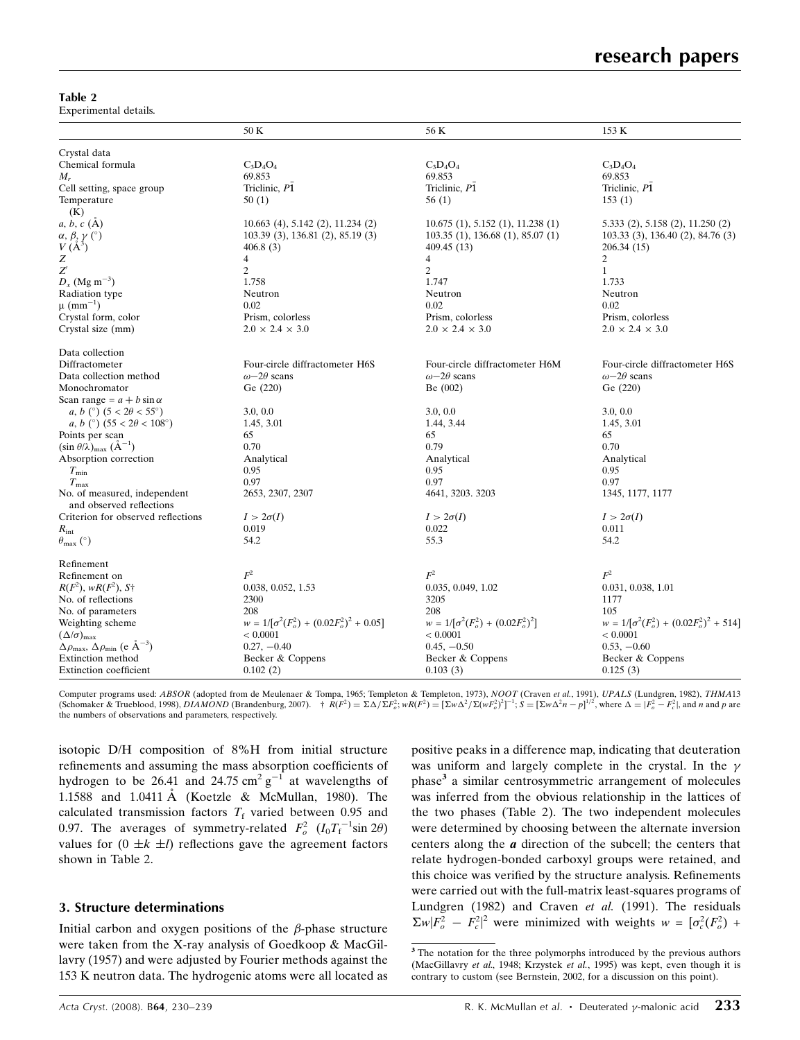Table 2

Experimental details.

|                                                                              | 50 K                                             | 56 K                                      | 153 K                                           |
|------------------------------------------------------------------------------|--------------------------------------------------|-------------------------------------------|-------------------------------------------------|
| Crystal data                                                                 |                                                  |                                           |                                                 |
| Chemical formula                                                             | $C_3D_4O_4$                                      | $C_3D_4O_4$                               | $C_3D_4O_4$                                     |
| $M_r$                                                                        | 69.853                                           | 69.853                                    | 69.853                                          |
| Cell setting, space group                                                    | Triclinic, P1                                    | Triclinic, P1                             | Triclinic, P1                                   |
| Temperature                                                                  | 50(1)                                            | 56(1)                                     | 153(1)                                          |
| (K)                                                                          |                                                  |                                           |                                                 |
| $a, b, c$ (A)                                                                | 10.663 (4), 5.142 (2), 11.234 (2)                | 10.675(1), 5.152(1), 11.238(1)            | 5.333 (2), 5.158 (2), 11.250 (2)                |
| $\alpha, \beta, \gamma$ (°)                                                  | 103.39 (3), 136.81 (2), 85.19 (3)                | 103.35(1), 136.68(1), 85.07(1)            | 103.33 (3), 136.40 (2), 84.76 (3)               |
| $V(A^3)$                                                                     | 406.8(3)                                         | 409.45 (13)                               | 206.34 (15)                                     |
| Z                                                                            | $\overline{\mathcal{A}}$                         | 4                                         | $\overline{c}$                                  |
| $Z^{\prime}$                                                                 | 2                                                | 2                                         | $\mathbf{1}$                                    |
| $D_x$ (Mg m <sup>-3</sup> )                                                  | 1.758                                            | 1.747                                     | 1.733                                           |
| Radiation type                                                               | Neutron                                          | Neutron                                   | Neutron                                         |
| $\mu$ (mm <sup>-1</sup> )                                                    | 0.02                                             | 0.02                                      | 0.02                                            |
| Crystal form, color                                                          | Prism, colorless                                 | Prism, colorless                          | Prism, colorless                                |
|                                                                              |                                                  |                                           |                                                 |
| Crystal size (mm)                                                            | $2.0 \times 2.4 \times 3.0$                      | $2.0 \times 2.4 \times 3.0$               | $2.0 \times 2.4 \times 3.0$                     |
| Data collection                                                              |                                                  |                                           |                                                 |
| Diffractometer                                                               | Four-circle diffractometer H6S                   | Four-circle diffractometer H6M            | Four-circle diffractometer H6S                  |
| Data collection method                                                       | $\omega$ -2 $\theta$ scans                       | $\omega$ -2 $\theta$ scans                | $\omega$ -2 $\theta$ scans                      |
| Monochromator                                                                | Ge (220)                                         | Be(002)                                   | Ge (220)                                        |
| Scan range = $a + b \sin \alpha$                                             |                                                  |                                           |                                                 |
| a, b (°) $(5 < 2\theta < 55^{\circ})$                                        | 3.0, 0.0                                         | 3.0, 0.0                                  | 3.0, 0.0                                        |
| a, b (°) $(55 < 2\theta < 108^{\circ})$                                      | 1.45, 3.01                                       | 1.44, 3.44                                | 1.45, 3.01                                      |
| Points per scan                                                              | 65                                               | 65                                        | 65                                              |
| $(\sin \theta/\lambda)_{\text{max}}$ $(\text{\AA}^{-1})$                     | 0.70                                             | 0.79                                      | 0.70                                            |
| Absorption correction                                                        | Analytical                                       | Analytical                                | Analytical                                      |
| $T_{\rm min}$                                                                | 0.95                                             | 0.95                                      | 0.95                                            |
| $T_{\rm max}$                                                                | 0.97                                             | 0.97                                      | 0.97                                            |
|                                                                              |                                                  |                                           |                                                 |
| No. of measured, independent                                                 | 2653, 2307, 2307                                 | 4641, 3203. 3203                          | 1345, 1177, 1177                                |
| and observed reflections                                                     |                                                  |                                           |                                                 |
| Criterion for observed reflections                                           | $I > 2\sigma(I)$                                 | $I > 2\sigma(I)$                          | $I > 2\sigma(I)$                                |
| $R_{\rm int}$                                                                | 0.019                                            | 0.022                                     | 0.011                                           |
| $\theta_{\text{max}}$ (°)                                                    | 54.2                                             | 55.3                                      | 54.2                                            |
| Refinement                                                                   |                                                  |                                           |                                                 |
| Refinement on                                                                | $F^2$                                            | $\mathbb{F}^2$                            | $F^2$                                           |
| $R(F^2)$ , w $R(F^2)$ , S <sup>+</sup>                                       | 0.038, 0.052, 1.53                               | 0.035, 0.049, 1.02                        | 0.031, 0.038, 1.01                              |
| No. of reflections                                                           | 2300                                             | 3205                                      | 1177                                            |
| No. of parameters                                                            | 208                                              | 208                                       | 105                                             |
| Weighting scheme                                                             | $w = 1/[\sigma^2(F_o^2) + (0.02F_o^2)^2 + 0.05]$ | $w = 1/[\sigma^2(F_o^2) + (0.02F_o^2)^2]$ | $w = 1/[\sigma^2(F_o^2) + (0.02F_o^2)^2 + 514]$ |
| $(\Delta/\sigma)_{\text{max}}$                                               | ${}< 0.0001$                                     | < 0.0001                                  | $< 0.0001$                                      |
| $\Delta \rho_{\text{max}}$ , $\Delta \rho_{\text{min}}$ (e $\rm{\AA}^{-3}$ ) | $0.27, -0.40$                                    | $0.45, -0.50$                             | $0.53, -0.60$                                   |
| Extinction method                                                            |                                                  |                                           |                                                 |
|                                                                              | Becker & Coppens                                 | Becker & Coppens                          | Becker & Coppens                                |
| <b>Extinction</b> coefficient                                                | 0.102(2)                                         | 0.103(3)                                  | 0.125(3)                                        |

Computer programs used: ABSOR (adopted from de Meulenaer & Tompa, 1965; Templeton & Templeton, 1973), NOOT (Craven et al., 1991), UPALS (Lundgren, 1982), THMA13<br>(Schomaker & Trueblood, 1998), DIAMOND (Brandenburg, 2007). the numbers of observations and parameters, respectively.

isotopic D/H composition of 8%H from initial structure refinements and assuming the mass absorption coefficients of hydrogen to be 26.41 and 24.75 cm<sup>2</sup>  $g^{-1}$  at wavelengths of 1.1588 and 1.0411 Å (Koetzle & McMullan, 1980). The calculated transmission factors  $T_f$  varied between 0.95 and 0.97. The averages of symmetry-related  $F_o^2$   $(I_0T_f^{-1}\sin 2\theta)$ values for  $(0 \pm k \pm l)$  reflections gave the agreement factors shown in Table 2.

# 3. Structure determinations

Initial carbon and oxygen positions of the  $\beta$ -phase structure were taken from the X-ray analysis of Goedkoop & MacGillavry (1957) and were adjusted by Fourier methods against the 153 K neutron data. The hydrogenic atoms were all located as positive peaks in a difference map, indicating that deuteration was uniform and largely complete in the crystal. In the  $\gamma$ phase<sup>3</sup> a similar centrosymmetric arrangement of molecules was inferred from the obvious relationship in the lattices of the two phases (Table 2). The two independent molecules were determined by choosing between the alternate inversion centers along the *a* direction of the subcell; the centers that relate hydrogen-bonded carboxyl groups were retained, and this choice was verified by the structure analysis. Refinements were carried out with the full-matrix least-squares programs of Lundgren (1982) and Craven et al. (1991). The residuals  $\sum w |F_o^2 - F_c^2|^2$  were minimized with weights  $w = [\sigma_c^2(F_o^2) +$ 

<sup>&</sup>lt;sup>3</sup> The notation for the three polymorphs introduced by the previous authors (MacGillavry et al., 1948; Krzystek et al., 1995) was kept, even though it is contrary to custom (see Bernstein, 2002, for a discussion on this point).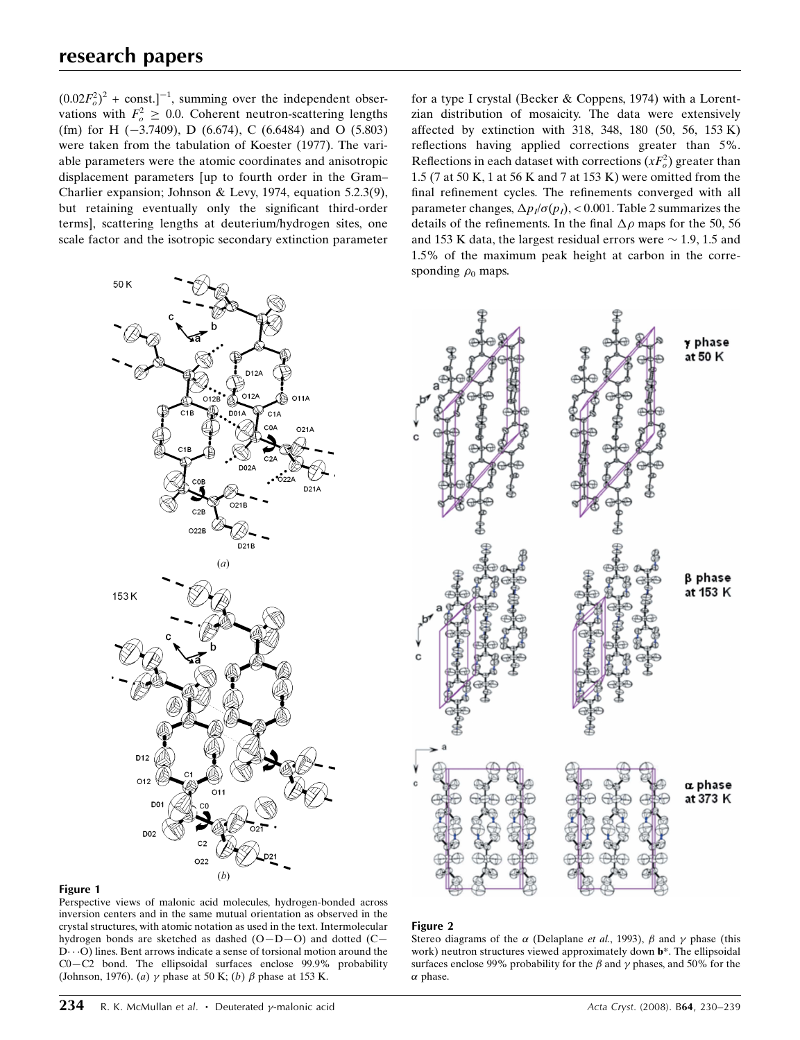$(0.02F_o^2)^2$  + const.]<sup>-1</sup>, summing over the independent observations with  $F_o^2 \geq 0.0$ . Coherent neutron-scattering lengths (fm) for H  $(-3.7409)$ , D  $(6.674)$ , C  $(6.6484)$  and O  $(5.803)$ were taken from the tabulation of Koester (1977). The variable parameters were the atomic coordinates and anisotropic displacement parameters [up to fourth order in the Gram– Charlier expansion; Johnson & Levy, 1974, equation 5.2.3(9), but retaining eventually only the significant third-order terms], scattering lengths at deuterium/hydrogen sites, one scale factor and the isotropic secondary extinction parameter for a type I crystal (Becker & Coppens, 1974) with a Lorentzian distribution of mosaicity. The data were extensively affected by extinction with 318, 348, 180 (50, 56, 153 K) reflections having applied corrections greater than 5%. Reflections in each dataset with corrections  $(xF_o^2)$  greater than 1.5 (7 at 50 K, 1 at 56 K and 7 at 153 K) were omitted from the final refinement cycles. The refinements converged with all parameter changes,  $\Delta p_i/\sigma(p_i)$ , < 0.001. Table 2 summarizes the details of the refinements. In the final  $\Delta \rho$  maps for the 50, 56 and 153 K data, the largest residual errors were  $\sim$  1.9, 1.5 and 1.5% of the maximum peak height at carbon in the corresponding  $\rho_0$  maps.





Perspective views of malonic acid molecules, hydrogen-bonded across inversion centers and in the same mutual orientation as observed in the crystal structures, with atomic notation as used in the text. Intermolecular hydrogen bonds are sketched as dashed (O—D—O) and dotted (C—  $D \cdot \cdot O$ ) lines. Bent arrows indicate a sense of torsional motion around the C0—C2 bond. The ellipsoidal surfaces enclose 99.9% probability (Johnson, 1976). (a)  $\gamma$  phase at 50 K; (b)  $\beta$  phase at 153 K.



### Figure 2

Stereo diagrams of the  $\alpha$  (Delaplane et al., 1993),  $\beta$  and  $\gamma$  phase (this work) neutron structures viewed approximately down **b**\*. The ellipsoidal surfaces enclose 99% probability for the  $\beta$  and  $\gamma$  phases, and 50% for the  $\alpha$  phase.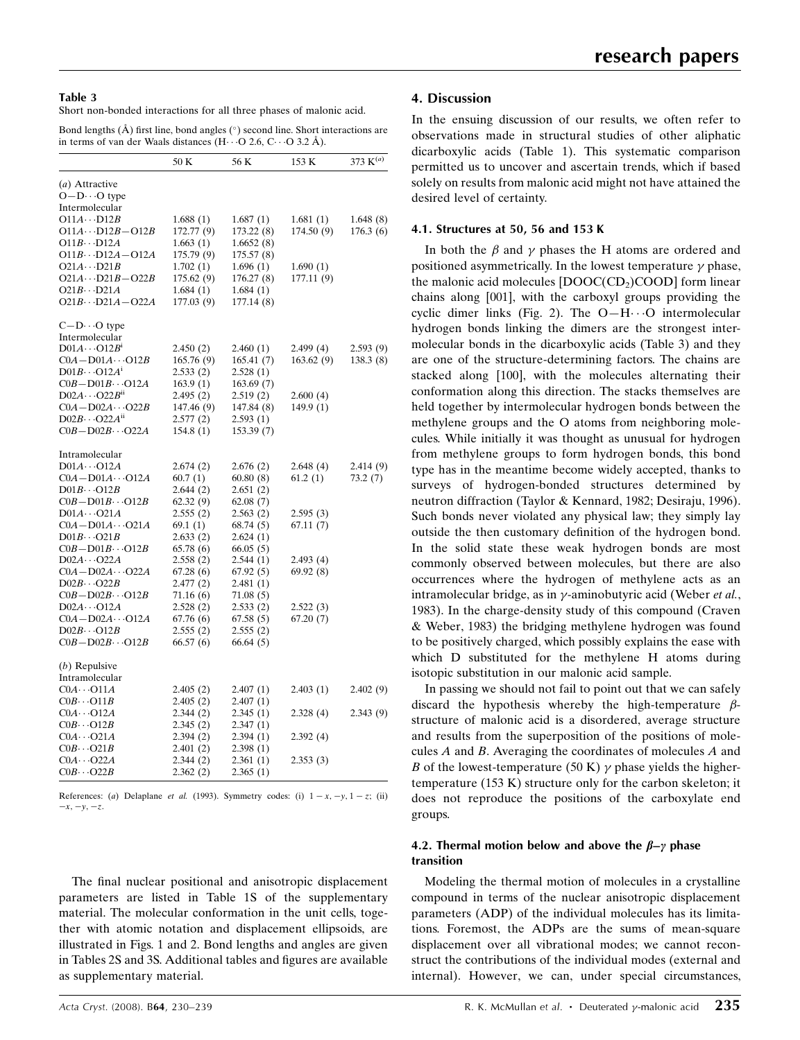#### Table 3

Short non-bonded interactions for all three phases of malonic acid.

Bond lengths  $(\hat{A})$  first line, bond angles  $(\circ)$  second line. Short interactions are in terms of van der Waals distances  $(H \cdot \cdot O \, 2.6, C \cdot \cdot O \, 3.2 \, \text{\AA})$ .

|                                  | 50 K       | 56 K       | 153 K      | 373 $K^{(a)}$ |
|----------------------------------|------------|------------|------------|---------------|
| (a) Attractive                   |            |            |            |               |
| $O - D \cdot \cdot \cdot O$ type |            |            |            |               |
| Intermolecular                   |            |            |            |               |
| $O11A \cdots D12B$               | 1.688(1)   | 1.687(1)   | 1.681(1)   | 1.648 (8)     |
| $O11A \cdots D12B - O12B$        | 172.77 (9) | 173.22 (8) | 174.50 (9) | 176.3(6)      |
| $O11B \cdots D12A$               | 1.663(1)   | 1.6652(8)  |            |               |
| $O11B\cdots D12A - O12A$         | 175.79(9)  | 175.57(8)  |            |               |
| $O21A \cdots D21B$               | 1.702(1)   | 1.696(1)   | 1.690(1)   |               |
| $O21A \cdots D21B - O22B$        | 175.62(9)  | 176.27 (8) | 177.11 (9) |               |
| $O21B \cdots D21A$               | 1.684(1)   | 1.684(1)   |            |               |
| $O21B \cdots D21A - O22A$        | 177.03 (9) | 177.14 (8) |            |               |
| $C - D \cdots O$ type            |            |            |            |               |
| Intermolecular                   |            |            |            |               |
| $D01A\cdots O12B$ <sup>1</sup>   | 2.450 (2)  | 2.460(1)   | 2.499(4)   | 2.593(9)      |
| $COA - D01A \cdots O12B$         | 165.76(9)  | 165.41(7)  | 163.62(9)  | 138.3(8)      |
| $D01B\cdots O12A^1$              | 2.533(2)   | 2.528(1)   |            |               |
| $COB - D01B \cdots O12A$         | 163.9(1)   | 163.69(7)  |            |               |
| $D02A \cdots O22B^{n}$           | 2.495(2)   | 2.519(2)   | 2.600(4)   |               |
| $COA - D02A \cdots O22B$         | 147.46 (9) | 147.84 (8) | 149.9 (1)  |               |
| $D02B\cdots O22A^{n}$            | 2.577(2)   | 2.593(1)   |            |               |
| $COB - D02B \cdots O22A$         | 154.8(1)   | 153.39(7)  |            |               |
| Intramolecular                   |            |            |            |               |
| $D01A\cdots O12A$                | 2.674(2)   | 2.676(2)   | 2.648(4)   | 2.414 (9)     |
| $COA - D01A \cdots O12A$         | 60.7(1)    | 60.80(8)   | 61.2(1)    | 73.2(7)       |
| $D01B\cdots O12B$                | 2.644(2)   | 2.651(2)   |            |               |
| $COB - D01B \cdots O12B$         | 62.32(9)   | 62.08(7)   |            |               |
| $D01A\cdots O21A$                | 2.555(2)   | 2.563(2)   | 2.595(3)   |               |
| $COA - D01A \cdots O21A$         | 69.1 (1)   | 68.74(5)   | 67.11(7)   |               |
| $D01B\cdots O21B$                | 2.633(2)   | 2.624(1)   |            |               |
| $COB - D01B \cdots O12B$         | 65.78(6)   | 66.05(5)   |            |               |
| $D02A \cdots O22A$               | 2.558(2)   | 2.544(1)   | 2.493(4)   |               |
| $COA - D02A \cdots O22A$         | 67.28(6)   | 67.92(5)   | 69.92(8)   |               |
| $D02B\cdots O22B$                | 2.477(2)   | 2.481(1)   |            |               |
| $COB - D02B \cdots O12B$         | 71.16 (6)  | 71.08 (5)  |            |               |
| $D02A \cdots O12A$               | 2.528(2)   | 2.533(2)   | 2.522(3)   |               |
| $COA - D02A \cdots O12A$         | 67.76 (6)  | 67.58(5)   | 67.20(7)   |               |
| $D02B \cdots O12B$               | 2.555(2)   | 2.555(2)   |            |               |
| $COB - D02B \cdots O12B$         | 66.57(6)   | 66.64(5)   |            |               |
| $(b)$ Repulsive                  |            |            |            |               |
| Intramolecular                   |            |            |            |               |
| $COA \cdots O11A$                | 2.405(2)   | 2.407(1)   | 2.403(1)   | 2.402(9)      |
| $COB \cdot \cdot \cdot O11B$     | 2.405 (2)  | 2.407 (1)  |            |               |
| $COA \cdots O12A$                | 2.344 (2)  | 2.345(1)   | 2.328(4)   | 2.343(9)      |
| $COB \cdot \cdot \cdot O12B$     | 2.345(2)   | 2.347(1)   |            |               |
| $COA \cdots O21A$                | 2.394(2)   | 2.394(1)   | 2.392(4)   |               |
| $COB \cdot \cdot \cdot O21B$     | 2.401(2)   | 2.398(1)   |            |               |
| $COA \cdots O22A$                | 2.344 (2)  | 2.361(1)   | 2.353(3)   |               |
| $COB \cdot \cdot \cdot O22B$     | 2.362(2)   | 2.365(1)   |            |               |

References: (a) Delaplane et al. (1993). Symmetry codes: (i)  $1 - x, -y, 1 - z$ ; (ii)  $-x, -y, -z.$ 

The final nuclear positional and anisotropic displacement parameters are listed in Table 1S of the supplementary material. The molecular conformation in the unit cells, together with atomic notation and displacement ellipsoids, are illustrated in Figs. 1 and 2. Bond lengths and angles are given in Tables 2S and 3S. Additional tables and figures are available as supplementary material.

# 4. Discussion

In the ensuing discussion of our results, we often refer to observations made in structural studies of other aliphatic dicarboxylic acids (Table 1). This systematic comparison permitted us to uncover and ascertain trends, which if based solely on results from malonic acid might not have attained the desired level of certainty.

#### 4.1. Structures at 50, 56 and 153 K

In both the  $\beta$  and  $\gamma$  phases the H atoms are ordered and positioned asymmetrically. In the lowest temperature  $\gamma$  phase, the malonic acid molecules  $[DOOC(CD<sub>2</sub>)COOD]$  form linear chains along [001], with the carboxyl groups providing the cyclic dimer links (Fig. 2). The  $O-H\cdots O$  intermolecular hydrogen bonds linking the dimers are the strongest intermolecular bonds in the dicarboxylic acids (Table 3) and they are one of the structure-determining factors. The chains are stacked along [100], with the molecules alternating their conformation along this direction. The stacks themselves are held together by intermolecular hydrogen bonds between the methylene groups and the O atoms from neighboring molecules. While initially it was thought as unusual for hydrogen from methylene groups to form hydrogen bonds, this bond type has in the meantime become widely accepted, thanks to surveys of hydrogen-bonded structures determined by neutron diffraction (Taylor & Kennard, 1982; Desiraju, 1996). Such bonds never violated any physical law; they simply lay outside the then customary definition of the hydrogen bond. In the solid state these weak hydrogen bonds are most commonly observed between molecules, but there are also occurrences where the hydrogen of methylene acts as an intramolecular bridge, as in  $\gamma$ -aminobutyric acid (Weber et al., 1983). In the charge-density study of this compound (Craven & Weber, 1983) the bridging methylene hydrogen was found to be positively charged, which possibly explains the ease with which D substituted for the methylene H atoms during isotopic substitution in our malonic acid sample.

In passing we should not fail to point out that we can safely discard the hypothesis whereby the high-temperature  $\beta$ structure of malonic acid is a disordered, average structure and results from the superposition of the positions of molecules A and B. Averaging the coordinates of molecules A and B of the lowest-temperature (50 K)  $\gamma$  phase yields the highertemperature (153 K) structure only for the carbon skeleton; it does not reproduce the positions of the carboxylate end groups.

### 4.2. Thermal motion below and above the  $\beta-\gamma$  phase transition

Modeling the thermal motion of molecules in a crystalline compound in terms of the nuclear anisotropic displacement parameters (ADP) of the individual molecules has its limitations. Foremost, the ADPs are the sums of mean-square displacement over all vibrational modes; we cannot reconstruct the contributions of the individual modes (external and internal). However, we can, under special circumstances,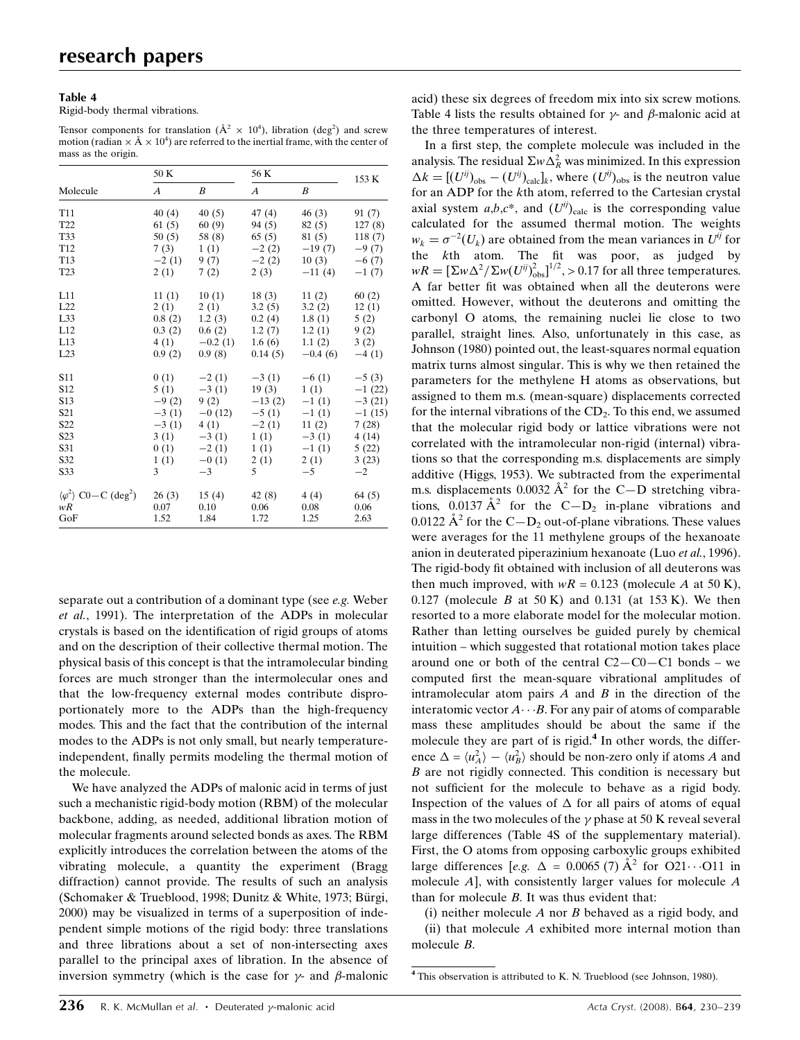#### Table 4

Rigid-body thermal vibrations.

Tensor components for translation ( $\AA^2 \times 10^4$ ), libration (deg<sup>2</sup>) and screw motion (radian  $\times$  Å  $\times$  10<sup>4</sup>) are referred to the inertial frame, with the center of mass as the origin.

|                                                                    | 50 K             |                  | 56 K             | 153 K           |          |  |
|--------------------------------------------------------------------|------------------|------------------|------------------|-----------------|----------|--|
| Molecule                                                           | $\boldsymbol{A}$ | B                | $\boldsymbol{A}$ | B               |          |  |
| T <sub>11</sub>                                                    | 40(4)            | 40(5)            | 47(4)            | 46(3)           | 91 (7)   |  |
| T <sub>22</sub>                                                    | 61(5)            | 60(9)            | 94 (5)           | 82 (5)          | 127(8)   |  |
| T33                                                                | 50(5)            | 58 (8)           | 65 (5)           | 81 (5)          | 118(7)   |  |
| T <sub>12</sub>                                                    | 7(3)             | 1(1)             | $-2(2)$          | $-19(7)$        | $-9(7)$  |  |
| T <sub>13</sub>                                                    | $-2(1)$          | 9(7)             | $-2(2)$          | 10(3)           | $-6(7)$  |  |
| T <sub>23</sub>                                                    | 2(1)             | 7(2)             | 2(3)             | $-11(4)$        | $-1(7)$  |  |
| L11                                                                | 11(1)            | 10(1)            |                  | $18(3)$ $11(2)$ | 60(2)    |  |
| L22                                                                | 2(1)             | 2(1)             | 3.2(5)           | 3.2(2)          | 12(1)    |  |
| L33                                                                | 0.8(2)           | 1.2(3)           | 0.2(4)           | 1.8(1)          | 5(2)     |  |
| L12                                                                | 0.3(2)           | 0.6(2)           | 1.2(7)           | 1.2(1)          | 9(2)     |  |
| L13                                                                |                  | $4(1)$ $-0.2(1)$ | 1.6(6)           | 1.1(2)          | 3(2)     |  |
| L23                                                                | 0.9(2)           | 0.9(8)           | 0.14(5)          | $-0.4(6)$       | $-4(1)$  |  |
| <b>S11</b>                                                         | 0(1)             | $-2(1)$          | $-3(1)$          | $-6(1)$         | $-5(3)$  |  |
| S <sub>12</sub>                                                    | 5(1)             | $-3(1)$          | 19(3)            | 1(1)            | $-1(22)$ |  |
| S13                                                                | $-9(2)$          | 9(2)             | $-13(2)$         | $-1(1)$         | $-3(21)$ |  |
| S21                                                                | $-3(1)$          | $-0(12)$         | $-5(1)$          | $-1(1)$         | $-1(15)$ |  |
| S22                                                                | $-3(1)$          | 4(1)             | $-2(1)$          | 11(2)           | 7(28)    |  |
| S23                                                                | 3(1)             | $-3(1)$          | 1(1)             | $-3(1)$         | 4(14)    |  |
| S31                                                                |                  | $0(1)$ $-2(1)$   | 1(1)             | $-1(1)$         | 5(22)    |  |
| S32                                                                | 1(1)             | $-0(1)$          | 2(1)             | 2(1)            | 3(23)    |  |
| S33                                                                | 3                | $-3$             | $5^{\circ}$      | $-5$            | $-2$     |  |
| $\langle \varphi^2 \rangle$ C <sub>0</sub> – C (deg <sup>2</sup> ) | 26(3)            | 15(4)            | 42(8)            | 4(4)            | 64 (5)   |  |
| wR                                                                 | 0.07             | 0.10             | 0.06             | 0.08            | 0.06     |  |
| GoF                                                                | 1.52             | 1.84             | 1.72             | 1.25            | 2.63     |  |

separate out a contribution of a dominant type (see e.g. Weber et al., 1991). The interpretation of the ADPs in molecular crystals is based on the identification of rigid groups of atoms and on the description of their collective thermal motion. The physical basis of this concept is that the intramolecular binding forces are much stronger than the intermolecular ones and that the low-frequency external modes contribute disproportionately more to the ADPs than the high-frequency modes. This and the fact that the contribution of the internal modes to the ADPs is not only small, but nearly temperatureindependent, finally permits modeling the thermal motion of the molecule.

We have analyzed the ADPs of malonic acid in terms of just such a mechanistic rigid-body motion (RBM) of the molecular backbone, adding, as needed, additional libration motion of molecular fragments around selected bonds as axes. The RBM explicitly introduces the correlation between the atoms of the vibrating molecule, a quantity the experiment (Bragg diffraction) cannot provide. The results of such an analysis (Schomaker & Trueblood, 1998; Dunitz & White, 1973; Bürgi, 2000) may be visualized in terms of a superposition of independent simple motions of the rigid body: three translations and three librations about a set of non-intersecting axes parallel to the principal axes of libration. In the absence of inversion symmetry (which is the case for  $\gamma$ - and  $\beta$ -malonic

acid) these six degrees of freedom mix into six screw motions. Table 4 lists the results obtained for  $\gamma$ - and  $\beta$ -malonic acid at the three temperatures of interest.

In a first step, the complete molecule was included in the analysis. The residual  $\Sigma w \Delta_R^2$  was minimized. In this expression  $\Delta k = [(U^{ij})_{obs} - (U^{ij})_{calc}]_k$ , where  $(U^{ij})_{obs}$  is the neutron value for an ADP for the kth atom, referred to the Cartesian crystal axial system  $a,b,c^*$ , and  $(U^{ij})_{calc}$  is the corresponding value calculated for the assumed thermal motion. The weights  $w_k = \sigma^{-2}(U_k)$  are obtained from the mean variances in  $U^{ij}$  for the kth atom. The fit was poor, as judged by  $wR = \left[\Sigma w \Delta^2 / \Sigma w(U^{ij})_{\text{obs}}^2\right]^{1/2}, > 0.17$  for all three temperatures. A far better fit was obtained when all the deuterons were omitted. However, without the deuterons and omitting the carbonyl O atoms, the remaining nuclei lie close to two parallel, straight lines. Also, unfortunately in this case, as Johnson (1980) pointed out, the least-squares normal equation matrix turns almost singular. This is why we then retained the parameters for the methylene H atoms as observations, but assigned to them m.s. (mean-square) displacements corrected for the internal vibrations of the  $CD<sub>2</sub>$ . To this end, we assumed that the molecular rigid body or lattice vibrations were not correlated with the intramolecular non-rigid (internal) vibrations so that the corresponding m.s. displacements are simply additive (Higgs, 1953). We subtracted from the experimental m.s. displacements 0.0032  $A^2$  for the C-D stretching vibrations, 0.0137  $A^2$  for the C-D<sub>2</sub> in-plane vibrations and 0.0122  $\mathring{A}^2$  for the C-D<sub>2</sub> out-of-plane vibrations. These values were averages for the 11 methylene groups of the hexanoate anion in deuterated piperazinium hexanoate (Luo et al., 1996). The rigid-body fit obtained with inclusion of all deuterons was then much improved, with  $wR = 0.123$  (molecule A at 50 K), 0.127 (molecule B at 50 K) and 0.131 (at 153 K). We then resorted to a more elaborate model for the molecular motion. Rather than letting ourselves be guided purely by chemical intuition – which suggested that rotational motion takes place around one or both of the central  $C2 - C0 - C1$  bonds – we computed first the mean-square vibrational amplitudes of intramolecular atom pairs  $A$  and  $B$  in the direction of the interatomic vector  $A \cdots B$ . For any pair of atoms of comparable mass these amplitudes should be about the same if the molecule they are part of is rigid. $4$  In other words, the difference  $\Delta = \langle u_A^2 \rangle - \langle u_B^2 \rangle$  should be non-zero only if atoms A and B are not rigidly connected. This condition is necessary but not sufficient for the molecule to behave as a rigid body. Inspection of the values of  $\Delta$  for all pairs of atoms of equal mass in the two molecules of the  $\gamma$  phase at 50 K reveal several large differences (Table 4S of the supplementary material). First, the O atoms from opposing carboxylic groups exhibited large differences [e.g.  $\Delta = 0.0065$  (7)  $\AA^2$  for O21... O11 in molecule A], with consistently larger values for molecule A than for molecule B. It was thus evident that:

(i) neither molecule  $A$  nor  $B$  behaved as a rigid body, and (ii) that molecule A exhibited more internal motion than molecule B.

<sup>4</sup> This observation is attributed to K. N. Trueblood (see Johnson, 1980).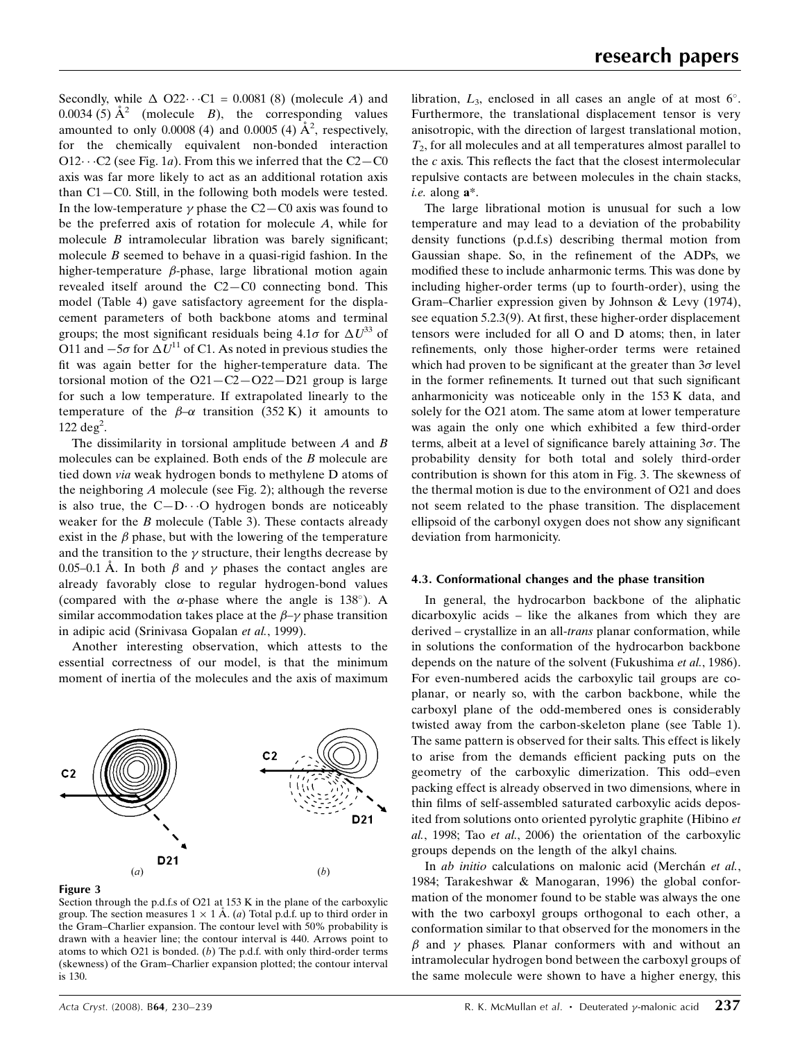Secondly, while  $\triangle$  O22 $\cdots$ C1 = 0.0081 (8) (molecule A) and 0.0034 (5)  $\AA^2$  (molecule B), the corresponding values amounted to only 0.0008 (4) and 0.0005 (4)  $\AA^2$ , respectively, for the chemically equivalent non-bonded interaction O12 $\cdots$ C2 (see Fig. 1*a*). From this we inferred that the C2–C0 axis was far more likely to act as an additional rotation axis than C1—C0. Still, in the following both models were tested. In the low-temperature  $\gamma$  phase the C2–C0 axis was found to be the preferred axis of rotation for molecule A, while for molecule  $B$  intramolecular libration was barely significant; molecule  $B$  seemed to behave in a quasi-rigid fashion. In the higher-temperature  $\beta$ -phase, large librational motion again revealed itself around the C2—C0 connecting bond. This model (Table 4) gave satisfactory agreement for the displacement parameters of both backbone atoms and terminal groups; the most significant residuals being  $4.1\sigma$  for  $\Delta U^{33}$  of O11 and  $-5\sigma$  for  $\Delta U^{11}$  of C1. As noted in previous studies the fit was again better for the higher-temperature data. The torsional motion of the  $O21 - C2 - O22 - D21$  group is large for such a low temperature. If extrapolated linearly to the temperature of the  $\beta-\alpha$  transition (352 K) it amounts to  $122 \text{ deg}^2$ .

The dissimilarity in torsional amplitude between  $A$  and  $B$ molecules can be explained. Both ends of the B molecule are tied down via weak hydrogen bonds to methylene D atoms of the neighboring  $A$  molecule (see Fig. 2); although the reverse is also true, the  $C-D \cdot \cdot \cdot O$  hydrogen bonds are noticeably weaker for the  $B$  molecule (Table 3). These contacts already exist in the  $\beta$  phase, but with the lowering of the temperature and the transition to the  $\gamma$  structure, their lengths decrease by 0.05–0.1 Å. In both  $\beta$  and  $\gamma$  phases the contact angles are already favorably close to regular hydrogen-bond values (compared with the  $\alpha$ -phase where the angle is 138°). A similar accommodation takes place at the  $\beta-\gamma$  phase transition in adipic acid (Srinivasa Gopalan et al., 1999).

Another interesting observation, which attests to the essential correctness of our model, is that the minimum moment of inertia of the molecules and the axis of maximum



#### Figure 3

Section through the p.d.f.s of O21 at 153 K in the plane of the carboxylic group. The section measures  $1 \times 1 \mathring{A}$ . (a) Total p.d.f. up to third order in the Gram–Charlier expansion. The contour level with 50% probability is drawn with a heavier line; the contour interval is 440. Arrows point to atoms to which O21 is bonded.  $(b)$  The p.d.f. with only third-order terms (skewness) of the Gram–Charlier expansion plotted; the contour interval is 130.

The large librational motion is unusual for such a low temperature and may lead to a deviation of the probability density functions (p.d.f.s) describing thermal motion from Gaussian shape. So, in the refinement of the ADPs, we modified these to include anharmonic terms. This was done by including higher-order terms (up to fourth-order), using the Gram–Charlier expression given by Johnson & Levy (1974), see equation 5.2.3(9). At first, these higher-order displacement tensors were included for all O and D atoms; then, in later refinements, only those higher-order terms were retained which had proven to be significant at the greater than  $3\sigma$  level in the former refinements. It turned out that such significant anharmonicity was noticeable only in the 153 K data, and solely for the O21 atom. The same atom at lower temperature was again the only one which exhibited a few third-order terms, albeit at a level of significance barely attaining  $3\sigma$ . The probability density for both total and solely third-order contribution is shown for this atom in Fig. 3. The skewness of the thermal motion is due to the environment of O21 and does not seem related to the phase transition. The displacement ellipsoid of the carbonyl oxygen does not show any significant deviation from harmonicity.

#### 4.3. Conformational changes and the phase transition

In general, the hydrocarbon backbone of the aliphatic dicarboxylic acids – like the alkanes from which they are derived – crystallize in an all-*trans* planar conformation, while in solutions the conformation of the hydrocarbon backbone depends on the nature of the solvent (Fukushima et al., 1986). For even-numbered acids the carboxylic tail groups are coplanar, or nearly so, with the carbon backbone, while the carboxyl plane of the odd-membered ones is considerably twisted away from the carbon-skeleton plane (see Table 1). The same pattern is observed for their salts. This effect is likely to arise from the demands efficient packing puts on the geometry of the carboxylic dimerization. This odd–even packing effect is already observed in two dimensions, where in thin films of self-assembled saturated carboxylic acids deposited from solutions onto oriented pyrolytic graphite (Hibino et al., 1998; Tao et al., 2006) the orientation of the carboxylic groups depends on the length of the alkyl chains.

In *ab initio* calculations on malonic acid (Merchán et al., 1984; Tarakeshwar & Manogaran, 1996) the global conformation of the monomer found to be stable was always the one with the two carboxyl groups orthogonal to each other, a conformation similar to that observed for the monomers in the  $\beta$  and  $\gamma$  phases. Planar conformers with and without an intramolecular hydrogen bond between the carboxyl groups of the same molecule were shown to have a higher energy, this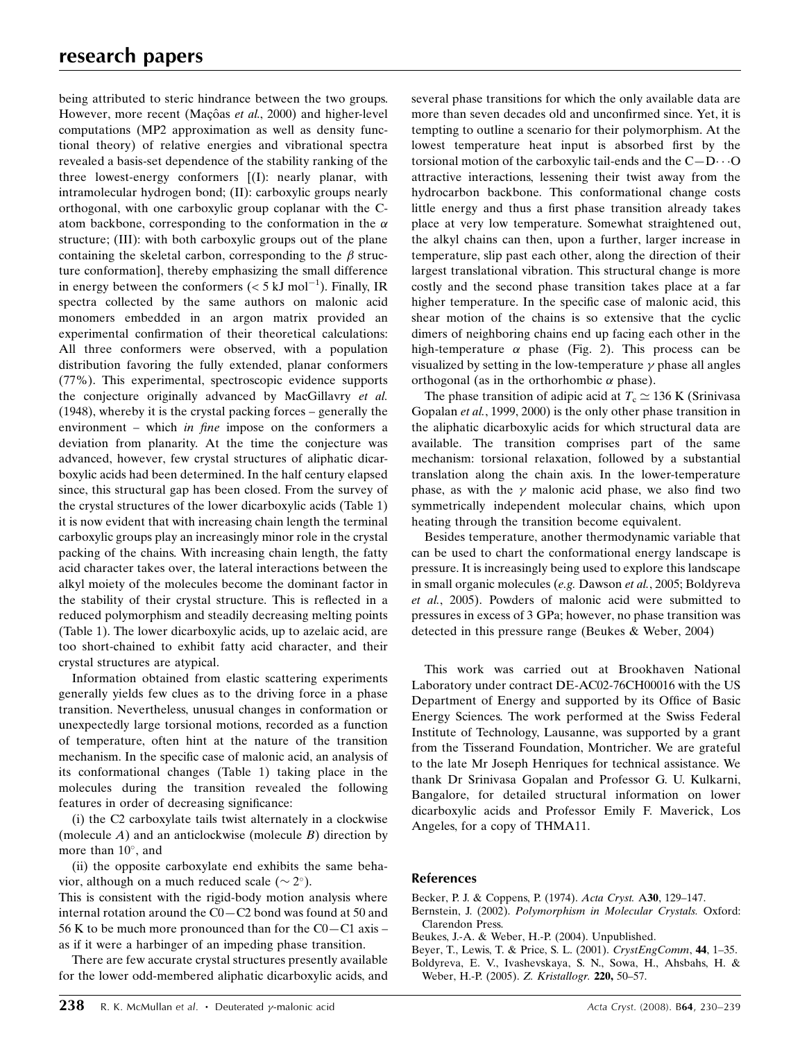being attributed to steric hindrance between the two groups. However, more recent (Maçôas et al., 2000) and higher-level computations (MP2 approximation as well as density functional theory) of relative energies and vibrational spectra revealed a basis-set dependence of the stability ranking of the three lowest-energy conformers [(I): nearly planar, with intramolecular hydrogen bond; (II): carboxylic groups nearly orthogonal, with one carboxylic group coplanar with the Catom backbone, corresponding to the conformation in the  $\alpha$ structure; (III): with both carboxylic groups out of the plane containing the skeletal carbon, corresponding to the  $\beta$  structure conformation], thereby emphasizing the small difference in energy between the conformers ( $<$  5 kJ mol<sup>-1</sup>). Finally, IR spectra collected by the same authors on malonic acid monomers embedded in an argon matrix provided an experimental confirmation of their theoretical calculations: All three conformers were observed, with a population distribution favoring the fully extended, planar conformers (77%). This experimental, spectroscopic evidence supports the conjecture originally advanced by MacGillavry et al. (1948), whereby it is the crystal packing forces – generally the environment – which in fine impose on the conformers a deviation from planarity. At the time the conjecture was advanced, however, few crystal structures of aliphatic dicarboxylic acids had been determined. In the half century elapsed since, this structural gap has been closed. From the survey of the crystal structures of the lower dicarboxylic acids (Table 1) it is now evident that with increasing chain length the terminal carboxylic groups play an increasingly minor role in the crystal packing of the chains. With increasing chain length, the fatty acid character takes over, the lateral interactions between the alkyl moiety of the molecules become the dominant factor in the stability of their crystal structure. This is reflected in a reduced polymorphism and steadily decreasing melting points (Table 1). The lower dicarboxylic acids, up to azelaic acid, are too short-chained to exhibit fatty acid character, and their crystal structures are atypical.

Information obtained from elastic scattering experiments generally yields few clues as to the driving force in a phase transition. Nevertheless, unusual changes in conformation or unexpectedly large torsional motions, recorded as a function of temperature, often hint at the nature of the transition mechanism. In the specific case of malonic acid, an analysis of its conformational changes (Table 1) taking place in the molecules during the transition revealed the following features in order of decreasing significance:

(i) the C2 carboxylate tails twist alternately in a clockwise (molecule  $A$ ) and an anticlockwise (molecule  $B$ ) direction by more than  $10^{\circ}$ , and

(ii) the opposite carboxylate end exhibits the same behavior, although on a much reduced scale ( $\sim 2^{\circ}$ ).

This is consistent with the rigid-body motion analysis where internal rotation around the C0—C2 bond was found at 50 and 56 K to be much more pronounced than for the  $CO - C1$  axis – as if it were a harbinger of an impeding phase transition.

There are few accurate crystal structures presently available for the lower odd-membered aliphatic dicarboxylic acids, and several phase transitions for which the only available data are more than seven decades old and unconfirmed since. Yet, it is tempting to outline a scenario for their polymorphism. At the lowest temperature heat input is absorbed first by the torsional motion of the carboxylic tail-ends and the  $C - D \cdots O$ attractive interactions, lessening their twist away from the hydrocarbon backbone. This conformational change costs little energy and thus a first phase transition already takes place at very low temperature. Somewhat straightened out, the alkyl chains can then, upon a further, larger increase in temperature, slip past each other, along the direction of their largest translational vibration. This structural change is more costly and the second phase transition takes place at a far higher temperature. In the specific case of malonic acid, this shear motion of the chains is so extensive that the cyclic dimers of neighboring chains end up facing each other in the high-temperature  $\alpha$  phase (Fig. 2). This process can be visualized by setting in the low-temperature  $\gamma$  phase all angles orthogonal (as in the orthorhombic  $\alpha$  phase).

The phase transition of adipic acid at  $T_c \simeq 136$  K (Srinivasa Gopalan et al., 1999, 2000) is the only other phase transition in the aliphatic dicarboxylic acids for which structural data are available. The transition comprises part of the same mechanism: torsional relaxation, followed by a substantial translation along the chain axis. In the lower-temperature phase, as with the  $\gamma$  malonic acid phase, we also find two symmetrically independent molecular chains, which upon heating through the transition become equivalent.

Besides temperature, another thermodynamic variable that can be used to chart the conformational energy landscape is pressure. It is increasingly being used to explore this landscape in small organic molecules (e.g. Dawson et al., 2005; Boldyreva et al., 2005). Powders of malonic acid were submitted to pressures in excess of 3 GPa; however, no phase transition was detected in this pressure range (Beukes & Weber, 2004)

This work was carried out at Brookhaven National Laboratory under contract DE-AC02-76CH00016 with the US Department of Energy and supported by its Office of Basic Energy Sciences. The work performed at the Swiss Federal Institute of Technology, Lausanne, was supported by a grant from the Tisserand Foundation, Montricher. We are grateful to the late Mr Joseph Henriques for technical assistance. We thank Dr Srinivasa Gopalan and Professor G. U. Kulkarni, Bangalore, for detailed structural information on lower dicarboxylic acids and Professor Emily F. Maverick, Los Angeles, for a copy of THMA11.

### References

- [Becker, P. J. & Coppens, P. \(1974\).](#page-9-0) Acta Cryst. A30, 129–147.
- Bernstein, J. (2002). [Polymorphism in Molecular Crystals.](#page-9-0) Oxford: [Clarendon Press.](#page-9-0)
- [Beukes, J.-A. & Weber, H.-P. \(2004\). Unpublished.](#page-9-0)
- [Beyer, T., Lewis, T. & Price, S. L. \(2001\).](#page-9-0) CrystEngComm, 44, 1–35.

[Boldyreva, E. V., Ivashevskaya, S. N., Sowa, H., Ahsbahs, H. &](#page-9-0) [Weber, H.-P. \(2005\).](#page-9-0) Z. Kristallogr. 220, 50–57.